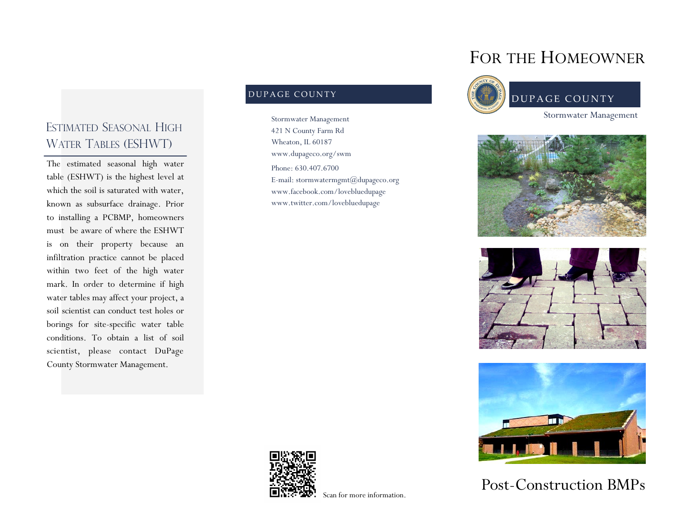## ESTIMATED SEASONAL HIGH WATER TABLES (ESHWT)

The estimated seasonal high water table (ESHWT) is the highest level at which the soil is saturated with water, known as subsurface drainage. Prior to installing a PCBMP, homeowners must be aware of where the ESHWT is on their property because an infiltration practice cannot be placed within two feet of the high water mark. In order to determine if high water tables may affect your project, a soil scientist can conduct test holes or borings for site-specific water table conditions. To obtain a list of soil scientist, please contact DuPage County Stormwater Management.

#### DUPAGE COUNTY

Phone: 630.407.6700 E-mail: stormwatermgmt@dupageco.org www.facebook.com/lovebluedupage www.twitter.com/lovebluedupage Stormwater Management 421 N County Farm Rd Wheaton, IL 60187 www.dupageco.org/swm

# FOR THE HOMEOWNER









Post-Construction BMPs



Scan for more information.